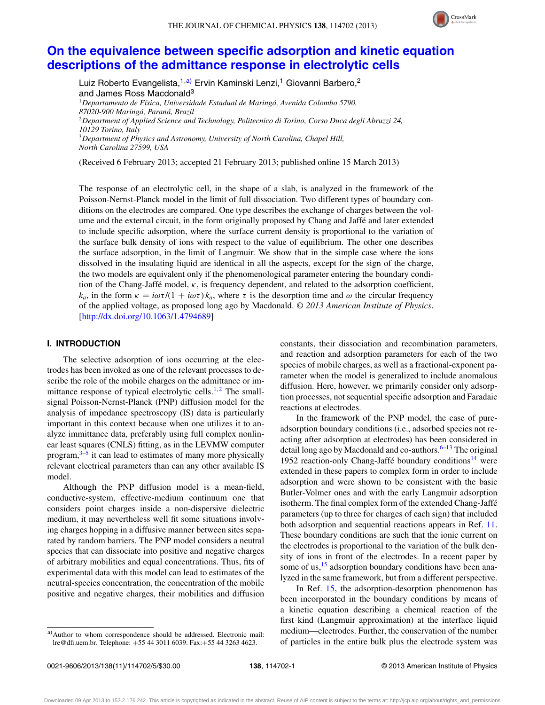

# **[On the equivalence between specific adsorption and kinetic equation](http://dx.doi.org/10.1063/1.4794689) [descriptions of the admittance response in electrolytic cells](http://dx.doi.org/10.1063/1.4794689)**

Luiz Roberto Evangelista,<sup>1[,a\)](#page-0-0)</sup> Ervin Kaminski Lenzi,<sup>1</sup> Giovanni Barbero,<sup>2</sup> and James Ross Macdonald<sup>3</sup> <sup>1</sup>*Departamento de Física, Universidade Estadual de Maringá, Avenida Colombo 5790, 87020-900 Maringá, Paraná, Brazil* <sup>2</sup>*Department of Applied Science and Technology, Politecnico di Torino, Corso Duca degli Abruzzi 24, 10129 Torino, Italy* <sup>3</sup>*Department of Physics and Astronomy, University of North Carolina, Chapel Hill, North Carolina 27599, USA*

(Received 6 February 2013; accepted 21 February 2013; published online 15 March 2013)

The response of an electrolytic cell, in the shape of a slab, is analyzed in the framework of the Poisson-Nernst-Planck model in the limit of full dissociation. Two different types of boundary conditions on the electrodes are compared. One type describes the exchange of charges between the volume and the external circuit, in the form originally proposed by Chang and Jaffé and later extended to include specific adsorption, where the surface current density is proportional to the variation of the surface bulk density of ions with respect to the value of equilibrium. The other one describes the surface adsorption, in the limit of Langmuir. We show that in the simple case where the ions dissolved in the insulating liquid are identical in all the aspects, except for the sign of the charge, the two models are equivalent only if the phenomenological parameter entering the boundary condition of the Chang-Jaffé model, *κ*, is frequency dependent, and related to the adsorption coefficient, *k<sub>a</sub>*, in the form  $κ = iωτ/(1 + iωτ)k_a$ , where *τ* is the desorption time and *ω* the circular frequency of the applied voltage, as proposed long ago by Macdonald. *© 2013 American Institute of Physics*. [\[http://dx.doi.org/10.1063/1.4794689\]](http://dx.doi.org/10.1063/1.4794689)

# **I. INTRODUCTION**

The selective adsorption of ions occurring at the electrodes has been invoked as one of the relevant processes to describe the role of the mobile charges on the admittance or im-mittance response of typical electrolytic cells.<sup>[1,](#page-3-0)[2](#page-3-1)</sup> The smallsignal Poisson-Nernst-Planck (PNP) diffusion model for the analysis of impedance spectroscopy (IS) data is particularly important in this context because when one utilizes it to analyze immittance data, preferably using full complex nonlinear least squares (CNLS) fitting, as in the LEVMW computer program, $3-5$  $3-5$  it can lead to estimates of many more physically relevant electrical parameters than can any other available IS model.

Although the PNP diffusion model is a mean-field, conductive-system, effective-medium continuum one that considers point charges inside a non-dispersive dielectric medium, it may nevertheless well fit some situations involving charges hopping in a diffusive manner between sites separated by random barriers. The PNP model considers a neutral species that can dissociate into positive and negative charges of arbitrary mobilities and equal concentrations. Thus, fits of experimental data with this model can lead to estimates of the neutral-species concentration, the concentration of the mobile positive and negative charges, their mobilities and diffusion

<span id="page-0-0"></span>a)Author to whom correspondence should be addressed. Electronic mail: [lre@dfi.uem.br.](mailto: lre@dfi.uem.br) Telephone: +55 44 3011 6039. Fax:+55 44 3263 4623.

constants, their dissociation and recombination parameters, and reaction and adsorption parameters for each of the two species of mobile charges, as well as a fractional-exponent parameter when the model is generalized to include anomalous diffusion. Here, however, we primarily consider only adsorption processes, not sequential specific adsorption and Faradaic reactions at electrodes.

In the framework of the PNP model, the case of pureadsorption boundary conditions (i.e., adsorbed species not reacting after adsorption at electrodes) has been considered in detail long ago by Macdonald and co-authors. $6-13$  The original 1952 reaction-only Chang-Jaffé boundary conditions<sup>14</sup> were extended in these papers to complex form in order to include adsorption and were shown to be consistent with the basic Butler-Volmer ones and with the early Langmuir adsorption isotherm. The final complex form of the extended Chang-Jaffé parameters (up to three for charges of each sign) that included both adsorption and sequential reactions appears in Ref. [11.](#page-3-7) These boundary conditions are such that the ionic current on the electrodes is proportional to the variation of the bulk density of ions in front of the electrodes. In a recent paper by some of us, $\frac{15}{15}$  $\frac{15}{15}$  $\frac{15}{15}$  adsorption boundary conditions have been analyzed in the same framework, but from a different perspective.

In Ref. [15,](#page-3-8) the adsorption-desorption phenomenon has been incorporated in the boundary conditions by means of a kinetic equation describing a chemical reaction of the first kind (Langmuir approximation) at the interface liquid medium—electrodes. Further, the conservation of the number of particles in the entire bulk plus the electrode system was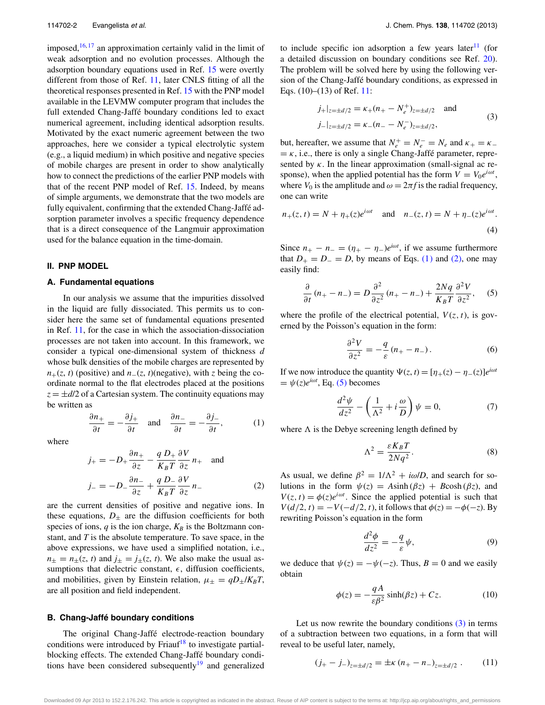imposed,  $16, 17$  $16, 17$  $16, 17$  an approximation certainly valid in the limit of weak adsorption and no evolution processes. Although the adsorption boundary equations used in Ref. [15](#page-3-8) were overtly different from those of Ref. [11,](#page-3-7) later CNLS fitting of all the theoretical responses presented in Ref. [15](#page-3-8) with the PNP model available in the LEVMW computer program that includes the full extended Chang-Jaffé boundary conditions led to exact numerical agreement, including identical adsorption results. Motivated by the exact numeric agreement between the two approaches, here we consider a typical electrolytic system (e.g., a liquid medium) in which positive and negative species of mobile charges are present in order to show analytically how to connect the predictions of the earlier PNP models with that of the recent PNP model of Ref. [15.](#page-3-8) Indeed, by means of simple arguments, we demonstrate that the two models are fully equivalent, confirming that the extended Chang-Jaffé adsorption parameter involves a specific frequency dependence that is a direct consequence of the Langmuir approximation used for the balance equation in the time-domain.

#### **II. PNP MODEL**

### **A. Fundamental equations**

In our analysis we assume that the impurities dissolved in the liquid are fully dissociated. This permits us to consider here the same set of fundamental equations presented in Ref. [11,](#page-3-7) for the case in which the association-dissociation processes are not taken into account. In this framework, we consider a typical one-dimensional system of thickness *d* whose bulk densities of the mobile charges are represented by  $n_{+}(z, t)$  (positive) and  $n_{-}(z, t)$ (negative), with *z* being the coordinate normal to the flat electrodes placed at the positions  $z = \pm d/2$  of a Cartesian system. The continuity equations may be written as

<span id="page-1-0"></span>
$$
\frac{\partial n_+}{\partial t} = -\frac{\partial j_+}{\partial t} \quad \text{and} \quad \frac{\partial n_-}{\partial t} = -\frac{\partial j_-}{\partial t}, \tag{1}
$$

where

<span id="page-1-1"></span>
$$
j_{+} = -D_{+} \frac{\partial n_{+}}{\partial z} - \frac{q D_{+}}{K_{B} T} \frac{\partial V}{\partial z} n_{+} \text{ and}
$$
  

$$
j_{-} = -D_{-} \frac{\partial n_{-}}{\partial z} + \frac{q D_{-}}{K_{B} T} \frac{\partial V}{\partial z} n_{-}
$$
(2)

are the current densities of positive and negative ions. In these equations,  $D_{\pm}$  are the diffusion coefficients for both species of ions,  $q$  is the ion charge,  $K_B$  is the Boltzmann constant, and *T* is the absolute temperature. To save space, in the above expressions, we have used a simplified notation, i.e.,  $n_{\pm} = n_{\pm}(z, t)$  and  $j_{\pm} = j_{\pm}(z, t)$ . We also make the usual assumptions that dielectric constant,  $\epsilon$ , diffusion coefficients, and mobilities, given by Einstein relation,  $\mu_{\pm} = qD_{\pm}/K_BT$ , are all position and field independent.

## **B. Chang-Jaffé boundary conditions**

The original Chang-Jaffé electrode-reaction boundary conditions were introduced by Friauf<sup>[18](#page-4-0)</sup> to investigate partialblocking effects. The extended Chang-Jaffé boundary conditions have been considered subsequently<sup>19</sup> and generalized to include specific ion adsorption a few years later<sup>[11](#page-3-7)</sup> (for a detailed discussion on boundary conditions see Ref. [20\)](#page-4-2). The problem will be solved here by using the following version of the Chang-Jaffé boundary conditions, as expressed in Eqs. (10)–(13) of Ref. [11:](#page-3-7)

<span id="page-1-3"></span>
$$
j_{+}|_{z=\pm d/2} = \kappa_{+}(n_{+} - N_{e}^{+})_{z=\pm d/2} \text{ and}
$$
  
\n
$$
j_{-}|_{z=\pm d/2} = \kappa_{-}(n_{-} - N_{e}^{-})_{z=\pm d/2},
$$
\n(3)

but, hereafter, we assume that  $N_e^+ = N_e^- = N_e$  and  $\kappa_+ = \kappa_ = \kappa$ , i.e., there is only a single Chang-Jaffé parameter, represented by *κ*. In the linear approximation (small-signal ac response), when the applied potential has the form  $V = V_0 e^{i\omega t}$ , where  $V_0$  is the amplitude and  $\omega = 2\pi f$  is the radial frequency, one can write

$$
n_{+}(z, t) = N + \eta_{+}(z)e^{i\omega t}
$$
 and  $n_{-}(z, t) = N + \eta_{-}(z)e^{i\omega t}$ . (4)

Since  $n_+ - n_- = (\eta_+ - \eta_-)e^{i\omega t}$ , if we assume furthermore that *D*<sub>+</sub> = *D*<sub>−</sub> = *D*, by means of Eqs. [\(1\)](#page-1-0) and [\(2\),](#page-1-1) one may easily find:

<span id="page-1-2"></span>
$$
\frac{\partial}{\partial t}(n_{+}-n_{-})=D\frac{\partial^{2}}{\partial z^{2}}(n_{+}-n_{-})+\frac{2Nq}{K_{B}T}\frac{\partial^{2}V}{\partial z^{2}},\quad (5)
$$

where the profile of the electrical potential,  $V(z, t)$ , is governed by the Poisson's equation in the form:

$$
\frac{\partial^2 V}{\partial z^2} = -\frac{q}{\varepsilon} (n_+ - n_-). \tag{6}
$$

If we now introduce the quantity  $\Psi(z, t) = [\eta_+(z) - \eta_-(z)]e^{i\omega t}$  $= \psi(z)e^{i\omega t}$ , Eq. [\(5\)](#page-1-2) becomes

$$
\frac{d^2\psi}{dz^2} - \left(\frac{1}{\Lambda^2} + i\frac{\omega}{D}\right)\psi = 0,\tag{7}
$$

where  $\Lambda$  is the Debye screening length defined by

<span id="page-1-4"></span>
$$
\Lambda^2 = \frac{\varepsilon K_B T}{2Nq^2}.\tag{8}
$$

As usual, we define  $\beta^2 = 1/\Lambda^2 + i\omega/D$ , and search for solutions in the form  $\psi(z) = A\sinh(\beta z) + B\cosh(\beta z)$ , and  $V(z, t) = \phi(z)e^{i\omega t}$ . Since the applied potential is such that  $V(d/2, t) = -V(-d/2, t)$ , it follows that  $\phi(z) = -\phi(-z)$ . By rewriting Poisson's equation in the form

$$
\frac{d^2\phi}{dz^2} = -\frac{q}{\varepsilon}\psi,\tag{9}
$$

we deduce that  $\psi(z) = -\psi(-z)$ . Thus,  $B = 0$  and we easily obtain

<span id="page-1-5"></span>
$$
\phi(z) = -\frac{qA}{\varepsilon \beta^2} \sinh(\beta z) + Cz.
$$
 (10)

Let us now rewrite the boundary conditions  $(3)$  in terms of a subtraction between two equations, in a form that will reveal to be useful later, namely,

$$
(j_{+} - j_{-})_{z = \pm d/2} = \pm \kappa (n_{+} - n_{-})_{z = \pm d/2} . \tag{11}
$$

Downloaded 09 Apr 2013 to 152.2.176.242. This article is copyrighted as indicated in the abstract. Reuse of AIP content is subject to the terms at: http://jcp.aip.org/about/rights\_and\_permissions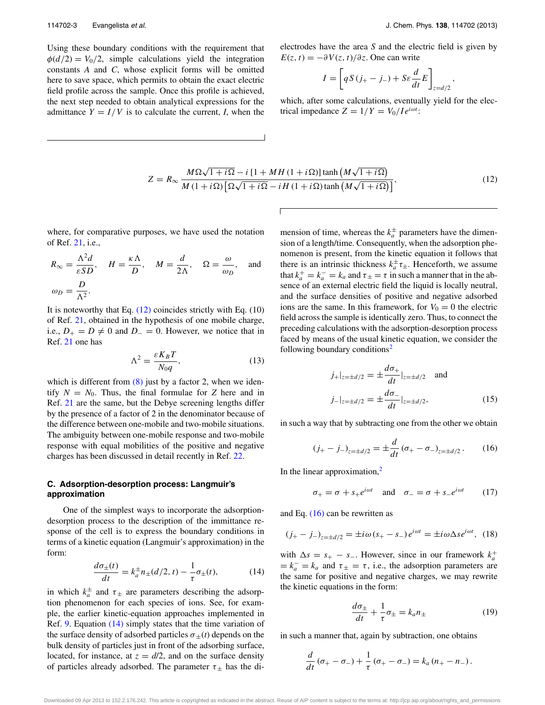Using these boundary conditions with the requirement that  $\phi(d/2) = V_0/2$ , simple calculations yield the integration constants *A* and *C*, whose explicit forms will be omitted here to save space, which permits to obtain the exact electric field profile across the sample. Once this profile is achieved, the next step needed to obtain analytical expressions for the admittance  $Y = I/V$  is to calculate the current, *I*, when the

*,*

electrodes have the area *S* and the electric field is given by  $E(z, t) = -\partial V(z, t)/\partial z$ . One can write

$$
I = \left[ qS(j_{+} - j_{-}) + S\varepsilon \frac{d}{dt} E \right]_{z = d/2}
$$

which, after some calculations, eventually yield for the electrical impedance  $Z = 1/Y = V_0/Ie^{i\omega t}$ :

$$
Z = R_{\infty} \frac{M\Omega\sqrt{1+i\Omega} - i\left[1 + MH\left(1+i\Omega\right)\right] \tanh\left(M\sqrt{1+i\Omega}\right)}{M\left(1+i\Omega\right)\left[\Omega\sqrt{1+i\Omega} - iH\left(1+i\Omega\right)\tanh\left(M\sqrt{1+i\Omega}\right)\right]},
$$
\n(12)

<span id="page-2-0"></span>where, for comparative purposes, we have used the notation of Ref. [21,](#page-4-3) i.e.,

$$
R_{\infty} = \frac{\Lambda^2 d}{\varepsilon SD}
$$
,  $H = \frac{\kappa \Lambda}{D}$ ,  $M = \frac{d}{2\Lambda}$ ,  $\Omega = \frac{\omega}{\omega_D}$ , and  
 $\omega_D = \frac{D}{\Lambda^2}$ .

It is noteworthy that Eq.  $(12)$  coincides strictly with Eq.  $(10)$ of Ref. [21,](#page-4-3) obtained in the hypothesis of one mobile charge, i.e.,  $D_+ = D \neq 0$  and  $D_− = 0$ . However, we notice that in Ref. [21](#page-4-3) one has

$$
\Lambda^2 = \frac{\varepsilon K_B T}{N_0 q},\tag{13}
$$

which is different from  $(8)$  just by a factor 2, when we identify  $N = N_0$ . Thus, the final formulae for *Z* here and in Ref. [21](#page-4-3) are the same, but the Debye screening lengths differ by the presence of a factor of 2 in the denominator because of the difference between one-mobile and two-mobile situations. The ambiguity between one-mobile response and two-mobile response with equal mobilities of the positive and negative charges has been discussed in detail recently in Ref. [22.](#page-4-4)

# **C. Adsorption-desorption process: Langmuir's approximation**

One of the simplest ways to incorporate the adsorptiondesorption process to the description of the immittance response of the cell is to express the boundary conditions in terms of a kinetic equation (Langmuir's approximation) in the form:

<span id="page-2-1"></span>
$$
\frac{d\sigma_{\pm}(t)}{dt} = k_a^{\pm} n_{\pm}(d/2, t) - \frac{1}{\tau} \sigma_{\pm}(t),
$$
 (14)

in which  $k_a^{\pm}$  and  $\tau_{\pm}$  are parameters describing the adsorption phenomenon for each species of ions. See, for example, the earlier kinetic-equation approaches implemented in Ref. [9.](#page-3-11) Equation [\(14\)](#page-2-1) simply states that the time variation of the surface density of adsorbed particles  $\sigma_{\pm}(t)$  depends on the bulk density of particles just in front of the adsorbing surface, located, for instance, at  $z = d/2$ , and on the surface density of particles already adsorbed. The parameter  $\tau_{\pm}$  has the di-

mension of time, whereas the  $k_a^{\pm}$  parameters have the dimension of a length/time. Consequently, when the adsorption phenomenon is present, from the kinetic equation it follows that there is an intrinsic thickness  $k_a^{\pm} \tau_{\pm}$ . Henceforth, we assume that  $k_a^+ = k_a^- = k_a$  and  $\tau_{\pm} = \tau$  in such a manner that in the absence of an external electric field the liquid is locally neutral, and the surface densities of positive and negative adsorbed ions are the same. In this framework, for  $V_0 = 0$  the electric field across the sample is identically zero. Thus, to connect the preceding calculations with the adsorption-desorption process faced by means of the usual kinetic equation, we consider the following boundary conditions<sup>[2](#page-3-1)</sup>

<span id="page-2-2"></span>
$$
j_{+}|_{z=\pm d/2} = \pm \frac{d\sigma_{+}}{dt}|_{z=\pm d/2} \text{ and}
$$
  
\n
$$
j_{-}|_{z=\pm d/2} = \pm \frac{d\sigma_{-}}{dt}|_{z=\pm d/2},
$$
 (15)

in such a way that by subtracting one from the other we obtain

$$
(j_{+} - j_{-})_{z = \pm d/2} = \pm \frac{d}{dt} (\sigma_{+} - \sigma_{-})_{z = \pm d/2}.
$$
 (16)

In the linear approximation, $<sup>2</sup>$  $<sup>2</sup>$  $<sup>2</sup>$ </sup>

<span id="page-2-4"></span><span id="page-2-3"></span>
$$
\sigma_+ = \sigma + s_+ e^{i\omega t} \quad \text{and} \quad \sigma_- = \sigma + s_- e^{i\omega t} \tag{17}
$$

and Eq.  $(16)$  can be rewritten as

$$
(j_{+} - j_{-})_{z = \pm d/2} = \pm i\omega (s_{+} - s_{-}) e^{i\omega t} = \pm i\omega \Delta s e^{i\omega t}, \tag{18}
$$

with  $\Delta s = s_+ - s_-$ . However, since in our framework  $k_a^+$  $= k_a^- = k_a$  and  $\tau_{\pm} = \tau$ , i.e., the adsorption parameters are the same for positive and negative charges, we may rewrite the kinetic equations in the form:

$$
\frac{d\sigma_{\pm}}{dt} + \frac{1}{\tau}\sigma_{\pm} = k_a n_{\pm} \tag{19}
$$

in such a manner that, again by subtraction, one obtains

$$
\frac{d}{dt}(\sigma_{+}-\sigma_{-})+\frac{1}{\tau}(\sigma_{+}-\sigma_{-})=k_a(n_+-n_-).
$$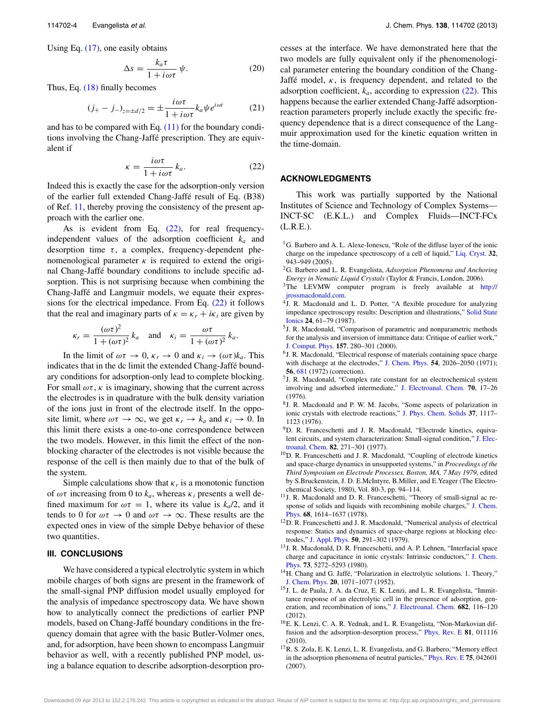Using Eq. [\(17\),](#page-2-3) one easily obtains

$$
\Delta s = \frac{k_a \tau}{1 + i \omega \tau} \psi.
$$
 (20)

Thus, Eq. [\(18\)](#page-2-4) finally becomes

$$
(j_{+} - j_{-})_{z = \pm d/2} = \pm \frac{i\omega\tau}{1 + i\omega\tau} k_a \psi e^{i\omega t}
$$
 (21)

<span id="page-3-12"></span>and has to be compared with Eq.  $(11)$  for the boundary conditions involving the Chang-Jaffé prescription. They are equivalent if

$$
\kappa = \frac{i\omega\tau}{1 + i\omega\tau} k_a.
$$
 (22)

Indeed this is exactly the case for the adsorption-only version of the earlier full extended Chang-Jaffé result of Eq. (B38) of Ref. [11,](#page-3-7) thereby proving the consistency of the present approach with the earlier one.

As is evident from Eq.  $(22)$ , for real frequencyindependent values of the adsorption coefficient *ka* and desorption time  $\tau$ , a complex, frequency-dependent phenomenological parameter  $\kappa$  is required to extend the original Chang-Jaffé boundary conditions to include specific adsorption. This is not surprising because when combining the Chang-Jaffé and Langmuir models, we equate their expressions for the electrical impedance. From Eq.  $(22)$  it follows that the real and imaginary parts of  $\kappa = \kappa_r + i\kappa_i$  are given by

$$
\kappa_r = \frac{(\omega \tau)^2}{1 + (\omega \tau)^2} k_a \quad \text{and} \quad \kappa_i = \frac{\omega \tau}{1 + (\omega \tau)^2} k_a.
$$

In the limit of  $\omega \tau \to 0$ ,  $\kappa_r \to 0$  and  $\kappa_i \to (\omega \tau) k_a$ . This indicates that in the dc limit the extended Chang-Jaffé boundary conditions for adsorption-only lead to complete blocking. For small  $\omega\tau$ ,  $\kappa$  is imaginary, showing that the current across the electrodes is in quadrature with the bulk density variation of the ions just in front of the electrode itself. In the opposite limit, where  $\omega \tau \to \infty$ , we get  $\kappa_r \to k_a$  and  $\kappa_i \to 0$ . In this limit there exists a one-to-one correspondence between the two models. However, in this limit the effect of the nonblocking character of the electrodes is not visible because the response of the cell is then mainly due to that of the bulk of the system.

Simple calculations show that  $\kappa_r$  is a monotonic function of  $\omega\tau$  increasing from 0 to  $k_a$ , whereas  $\kappa_i$  presents a well defined maximum for  $\omega \tau = 1$ , where its value is  $k_a/2$ , and it tends to 0 for  $\omega \tau \to 0$  and  $\omega \tau \to \infty$ . These results are the expected ones in view of the simple Debye behavior of these two quantities.

### **III. CONCLUSIONS**

We have considered a typical electrolytic system in which mobile charges of both signs are present in the framework of the small-signal PNP diffusion model usually employed for the analysis of impedance spectroscopy data. We have shown how to analytically connect the predictions of earlier PNP models, based on Chang-Jaffé boundary conditions in the frequency domain that agree with the basic Butler-Volmer ones, and, for adsorption, have been shown to encompass Langmuir behavior as well, with a recently published PNP model, using a balance equation to describe adsorption-desorption processes at the interface. We have demonstrated here that the two models are fully equivalent only if the phenomenological parameter entering the boundary condition of the Chang-Jaffé model,  $\kappa$ , is frequency dependent, and related to the adsorption coefficient,  $k_a$ , according to expression  $(22)$ . This happens because the earlier extended Chang-Jaffé adsorptionreaction parameters properly include exactly the specific frequency dependence that is a direct consequence of the Langmuir approximation used for the kinetic equation written in the time-domain.

#### **ACKNOWLEDGMENTS**

This work was partially supported by the National Institutes of Science and Technology of Complex Systems— INCT-SC (E.K.L.) and Complex Fluids—INCT-FCx (L.R.E.).

- <span id="page-3-0"></span><sup>1</sup>G. Barbero and A. L. Alexe-Ionescu, "Role of the diffuse layer of the ionic charge on the impedance spectroscopy of a cell of liquid," [Liq. Cryst.](http://dx.doi.org/10.1080/02678290500228105) **32**, 943–949 (2005).
- <span id="page-3-1"></span>2G. Barbero and L. R. Evangelista, *Adsorption Phenomena and Anchoring Energy in Nematic Liquid Crystals* (Taylor & Francis, London, 2006).
- <span id="page-3-2"></span><sup>3</sup>The LEVMW computer program is freely available at [http://](http://jrossmacdonald.com) [jrossmacdonald.com.](http://jrossmacdonald.com)
- <sup>4</sup>J. R. Macdonald and L. D. Potter, "A flexible procedure for analyzing impedance spectroscopy results: Description and illustrations," [Solid State](http://dx.doi.org/10.1016/0167-2738(87)90068-3) [Ionics](http://dx.doi.org/10.1016/0167-2738(87)90068-3) **24**, 61–79 (1987).
- <span id="page-3-3"></span>5J. R. Macdonald, "Comparison of parametric and nonparametric methods for the analysis and inversion of immittance data: Critique of earlier work," [J. Comput. Phys.](http://dx.doi.org/10.1006/jcph.1999.6378) **157**, 280–301 (2000).
- <span id="page-3-4"></span><sup>6</sup>J. R. Macdonald, "Electrical response of materials containing space charge with discharge at the electrodes," [J. Chem. Phys.](http://dx.doi.org/10.1063/1.1675134) **54**, 2026–2050 (1971); **56**, [681](http://dx.doi.org/10.1063/1.1676935) (1972) (correction).
- <sup>7</sup>J. R. Macdonald, "Complex rate constant for an electrochemical system involving and adsorbed intermediate," [J. Electroanal. Chem.](http://dx.doi.org/10.1016/S0022-0728(76)80258-6) **70**, 17–26 (1976).
- 8J. R. Macdonald and P. W. M. Jacobs, "Some aspects of polarization in ionic crystals with electrode reactions," [J. Phys. Chem. Solids](http://dx.doi.org/10.1016/0022-3697(76)90140-2) **37**, 1117– 1123 (1976).
- <span id="page-3-11"></span><sup>9</sup>D. R. Franceschetti and J. R. Macdonald, "Electrode kinetics, equivalent circuits, and system characterization: Small-signal condition," [J. Elec](http://dx.doi.org/10.1016/S0022-0728(77)80262-3)[troanal. Chem.](http://dx.doi.org/10.1016/S0022-0728(77)80262-3) **82**, 271–301 (1977).
- 10D. R. Franceschetti and J. R. Macdonald, "Coupling of electrode kinetics and space-charge dynamics in unsupported systems," in *Proceedings of the Third Symposium on Electrode Processes, Boston, MA, 7 May 1979*, edited by S.Bruckenstein, J. D. E.McIntyre, B.Miller, and E.Yeager (The Electrochemical Society, 1980), Vol. 80-3, pp. 94–114.
- <span id="page-3-7"></span><sup>11</sup>J. R. Macdonald and D. R. Franceschetti, "Theory of small-signal ac re-sponse of solids and liquids with recombining mobile charges," [J. Chem.](http://dx.doi.org/10.1063/1.435929) [Phys.](http://dx.doi.org/10.1063/1.435929) **68**, 1614–1637 (1978).
- 12D. R. Franceschetti and J. R. Macdonald, "Numerical analysis of electrical response: Statics and dynamics of space-charge regions at blocking electrodes," [J. Appl. Phys.](http://dx.doi.org/10.1063/1.325658) **50**, 291–302 (1979).
- <span id="page-3-5"></span><sup>13</sup>J. R. Macdonald, D. R. Franceschetti, and A. P. Lehnen, "Interfacial space charge and capacitance in ionic crystals: Intrinsic conductors," [J. Chem.](http://dx.doi.org/10.1063/1.439956) [Phys.](http://dx.doi.org/10.1063/1.439956) **73**, 5272–5293 (1980).
- <span id="page-3-6"></span><sup>14</sup>H. Chang and G. Jaffé, "Polarization in electrolytic solutions. 1. Theory," [J. Chem. Phys.](http://dx.doi.org/10.1063/1.1700669) **20**, 1071–1077 (1952).
- <span id="page-3-8"></span>15J. L. de Paula, J. A. da Cruz, E. K. Lenzi, and L. R. Evangelista, "Immittance response of an electrolytic cell in the presence of adsorption, generation, and recombination of ions," [J. Electroanal. Chem.](http://dx.doi.org/10.1016/j.jelechem.2012.07.021) **682**, 116–120 (2012).
- <span id="page-3-9"></span>16E. K. Lenzi, C. A. R. Yednak, and L. R. Evangelista, "Non-Markovian diffusion and the adsorption-desorption process," [Phys. Rev. E](http://dx.doi.org/10.1103/PhysRevE.81.011116) **81**, 011116 (2010).
- <span id="page-3-10"></span>17R. S. Zola, E. K. Lenzi, L. R. Evangelista, and G. Barbero, "Memory effect in the adsorption phenomena of neutral particles," [Phys. Rev. E](http://dx.doi.org/10.1103/PhysRevE.75.042601) **75**, 042601 (2007).